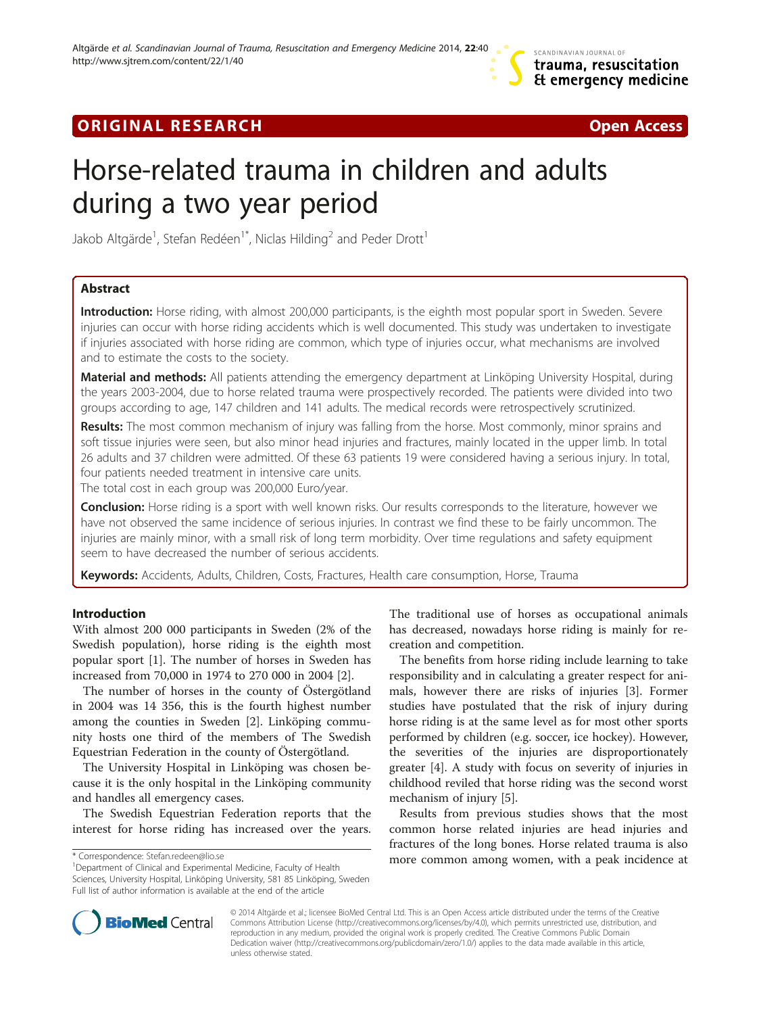# **ORIGINAL RESEARCH CONFIDENTIAL CONSUMING A LOCAL CONFIDENTIAL CONFIDENTIAL CONFIDENTIAL CONFIDENTIAL CONFIDENTI**



# Horse-related trauma in children and adults during a two year period

Jakob Altgärde<sup>1</sup>, Stefan Redéen<sup>1\*</sup>, Niclas Hilding<sup>2</sup> and Peder Drott<sup>1</sup>

# Abstract

Introduction: Horse riding, with almost 200,000 participants, is the eighth most popular sport in Sweden. Severe injuries can occur with horse riding accidents which is well documented. This study was undertaken to investigate if injuries associated with horse riding are common, which type of injuries occur, what mechanisms are involved and to estimate the costs to the society.

Material and methods: All patients attending the emergency department at Linköping University Hospital, during the years 2003-2004, due to horse related trauma were prospectively recorded. The patients were divided into two groups according to age, 147 children and 141 adults. The medical records were retrospectively scrutinized.

Results: The most common mechanism of injury was falling from the horse. Most commonly, minor sprains and soft tissue injuries were seen, but also minor head injuries and fractures, mainly located in the upper limb. In total 26 adults and 37 children were admitted. Of these 63 patients 19 were considered having a serious injury. In total, four patients needed treatment in intensive care units.

The total cost in each group was 200,000 Euro/year.

**Conclusion:** Horse riding is a sport with well known risks. Our results corresponds to the literature, however we have not observed the same incidence of serious injuries. In contrast we find these to be fairly uncommon. The injuries are mainly minor, with a small risk of long term morbidity. Over time regulations and safety equipment seem to have decreased the number of serious accidents.

Keywords: Accidents, Adults, Children, Costs, Fractures, Health care consumption, Horse, Trauma

# Introduction

With almost 200 000 participants in Sweden (2% of the Swedish population), horse riding is the eighth most popular sport [[1](#page-4-0)]. The number of horses in Sweden has increased from 70,000 in 1974 to 270 000 in 2004 [\[2\]](#page-4-0).

The number of horses in the county of Östergötland in 2004 was 14 356, this is the fourth highest number among the counties in Sweden [[2](#page-4-0)]. Linköping community hosts one third of the members of The Swedish Equestrian Federation in the county of Östergötland.

The University Hospital in Linköping was chosen because it is the only hospital in the Linköping community and handles all emergency cases.

The Swedish Equestrian Federation reports that the interest for horse riding has increased over the years.

<sup>1</sup>Department of Clinical and Experimental Medicine, Faculty of Health

Sciences, University Hospital, Linköping University, 581 85 Linköping, Sweden Full list of author information is available at the end of the article

The traditional use of horses as occupational animals has decreased, nowadays horse riding is mainly for recreation and competition.

The benefits from horse riding include learning to take responsibility and in calculating a greater respect for animals, however there are risks of injuries [[3\]](#page-4-0). Former studies have postulated that the risk of injury during horse riding is at the same level as for most other sports performed by children (e.g. soccer, ice hockey). However, the severities of the injuries are disproportionately greater [[4\]](#page-4-0). A study with focus on severity of injuries in childhood reviled that horse riding was the second worst mechanism of injury [\[5](#page-4-0)].

Results from previous studies shows that the most common horse related injuries are head injuries and fractures of the long bones. Horse related trauma is also \* Correspondence: [Stefan.redeen@lio.se](mailto:Stefan.redeen@lio.se) **more common among women**, with a peak incidence at



© 2014 Altgärde et al.; licensee BioMed Central Ltd. This is an Open Access article distributed under the terms of the Creative Commons Attribution License [\(http://creativecommons.org/licenses/by/4.0\)](http://creativecommons.org/licenses/by/4.0), which permits unrestricted use, distribution, and reproduction in any medium, provided the original work is properly credited. The Creative Commons Public Domain Dedication waiver [\(http://creativecommons.org/publicdomain/zero/1.0/](http://creativecommons.org/publicdomain/zero/1.0/)) applies to the data made available in this article, unless otherwise stated.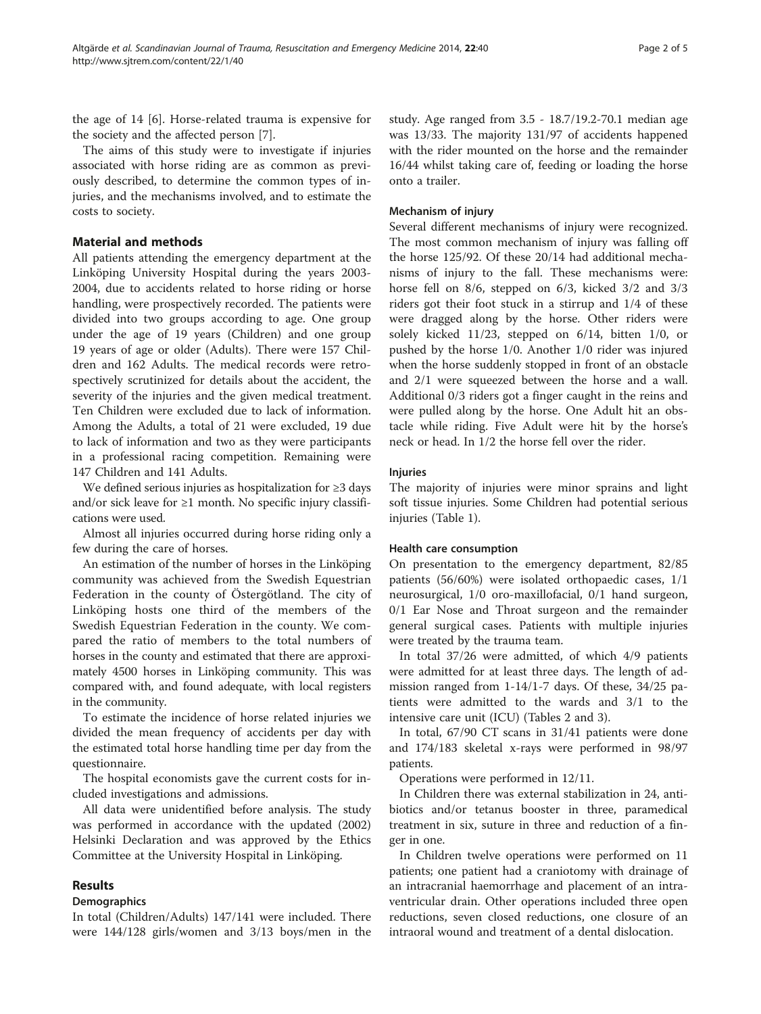the age of 14 [\[6\]](#page-4-0). Horse-related trauma is expensive for the society and the affected person [[7](#page-4-0)].

The aims of this study were to investigate if injuries associated with horse riding are as common as previously described, to determine the common types of injuries, and the mechanisms involved, and to estimate the costs to society.

# Material and methods

All patients attending the emergency department at the Linköping University Hospital during the years 2003- 2004, due to accidents related to horse riding or horse handling, were prospectively recorded. The patients were divided into two groups according to age. One group under the age of 19 years (Children) and one group 19 years of age or older (Adults). There were 157 Children and 162 Adults. The medical records were retrospectively scrutinized for details about the accident, the severity of the injuries and the given medical treatment. Ten Children were excluded due to lack of information. Among the Adults, a total of 21 were excluded, 19 due to lack of information and two as they were participants in a professional racing competition. Remaining were 147 Children and 141 Adults.

We defined serious injuries as hospitalization for ≥3 days and/or sick leave for  $\geq 1$  month. No specific injury classifications were used.

Almost all injuries occurred during horse riding only a few during the care of horses.

An estimation of the number of horses in the Linköping community was achieved from the Swedish Equestrian Federation in the county of Östergötland. The city of Linköping hosts one third of the members of the Swedish Equestrian Federation in the county. We compared the ratio of members to the total numbers of horses in the county and estimated that there are approximately 4500 horses in Linköping community. This was compared with, and found adequate, with local registers in the community.

To estimate the incidence of horse related injuries we divided the mean frequency of accidents per day with the estimated total horse handling time per day from the questionnaire.

The hospital economists gave the current costs for included investigations and admissions.

All data were unidentified before analysis. The study was performed in accordance with the updated (2002) Helsinki Declaration and was approved by the Ethics Committee at the University Hospital in Linköping.

## Results

#### **Demographics**

In total (Children/Adults) 147/141 were included. There were 144/128 girls/women and 3/13 boys/men in the study. Age ranged from 3.5 - 18.7/19.2-70.1 median age was 13/33. The majority 131/97 of accidents happened with the rider mounted on the horse and the remainder 16/44 whilst taking care of, feeding or loading the horse onto a trailer.

## Mechanism of injury

Several different mechanisms of injury were recognized. The most common mechanism of injury was falling off the horse 125/92. Of these 20/14 had additional mechanisms of injury to the fall. These mechanisms were: horse fell on 8/6, stepped on 6/3, kicked 3/2 and 3/3 riders got their foot stuck in a stirrup and 1/4 of these were dragged along by the horse. Other riders were solely kicked 11/23, stepped on 6/14, bitten 1/0, or pushed by the horse 1/0. Another 1/0 rider was injured when the horse suddenly stopped in front of an obstacle and 2/1 were squeezed between the horse and a wall. Additional 0/3 riders got a finger caught in the reins and were pulled along by the horse. One Adult hit an obstacle while riding. Five Adult were hit by the horse's neck or head. In 1/2 the horse fell over the rider.

#### Injuries

The majority of injuries were minor sprains and light soft tissue injuries. Some Children had potential serious injuries (Table [1](#page-2-0)).

#### Health care consumption

On presentation to the emergency department, 82/85 patients (56/60%) were isolated orthopaedic cases, 1/1 neurosurgical, 1/0 oro-maxillofacial, 0/1 hand surgeon, 0/1 Ear Nose and Throat surgeon and the remainder general surgical cases. Patients with multiple injuries were treated by the trauma team.

In total 37/26 were admitted, of which 4/9 patients were admitted for at least three days. The length of admission ranged from 1-14/1-7 days. Of these, 34/25 patients were admitted to the wards and 3/1 to the intensive care unit (ICU) (Tables [2](#page-2-0) and [3\)](#page-3-0).

In total, 67/90 CT scans in 31/41 patients were done and 174/183 skeletal x-rays were performed in 98/97 patients.

Operations were performed in 12/11.

In Children there was external stabilization in 24, antibiotics and/or tetanus booster in three, paramedical treatment in six, suture in three and reduction of a finger in one.

In Children twelve operations were performed on 11 patients; one patient had a craniotomy with drainage of an intracranial haemorrhage and placement of an intraventricular drain. Other operations included three open reductions, seven closed reductions, one closure of an intraoral wound and treatment of a dental dislocation.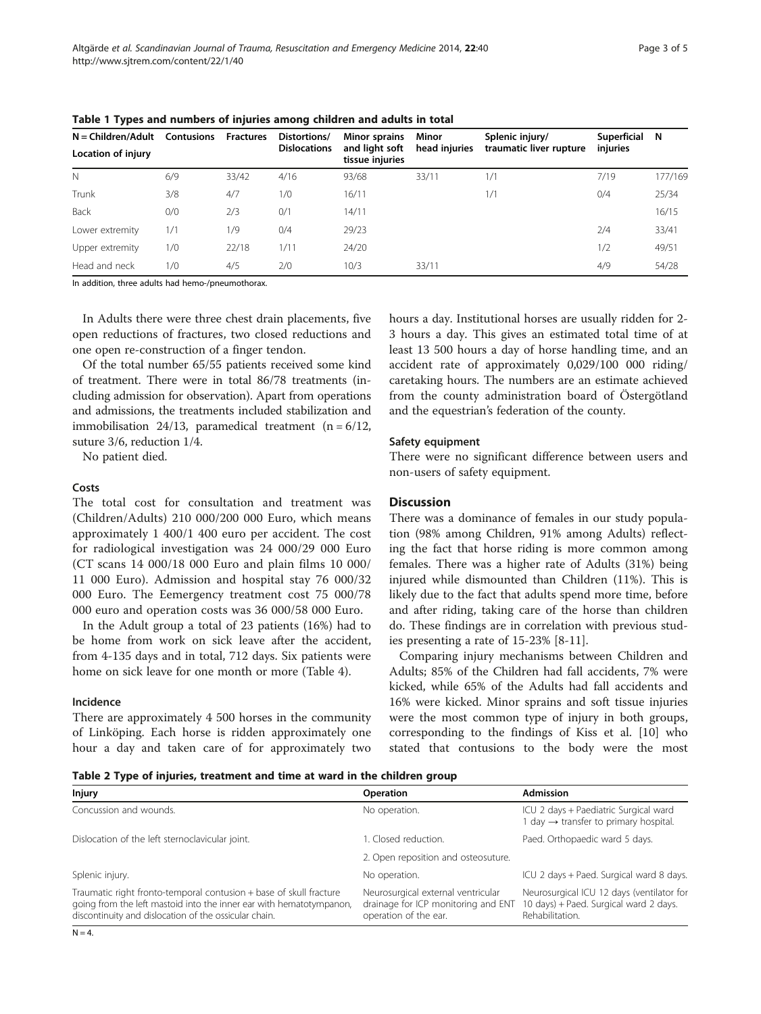| $N = Children/Adult$ | <b>Contusions</b> | <b>Fractures</b> | Distortions/        | <b>Minor sprains</b>              | Minor         | Splenic injury/         | Superficial | - N     |
|----------------------|-------------------|------------------|---------------------|-----------------------------------|---------------|-------------------------|-------------|---------|
| Location of injury   |                   |                  | <b>Dislocations</b> | and light soft<br>tissue injuries | head injuries | traumatic liver rupture | injuries    |         |
| N                    | 6/9               | 33/42            | 4/16                | 93/68                             | 33/11         | 1/1                     | 7/19        | 177/169 |
| Trunk                | 3/8               | 4/7              | 1/0                 | 16/11                             |               | 1/1                     | 0/4         | 25/34   |
| Back                 | 0/0               | 2/3              | 0/1                 | 14/11                             |               |                         |             | 16/15   |
| Lower extremity      | 1/1               | 1/9              | 0/4                 | 29/23                             |               |                         | 2/4         | 33/41   |
| Upper extremity      | 1/0               | 22/18            | 1/11                | 24/20                             |               |                         | 1/2         | 49/51   |
| Head and neck        | 1/0               | 4/5              | 2/0                 | 10/3                              | 33/11         |                         | 4/9         | 54/28   |

<span id="page-2-0"></span>Table 1 Types and numbers of injuries among children and adults in total

In addition, three adults had hemo-/pneumothorax.

In Adults there were three chest drain placements, five open reductions of fractures, two closed reductions and one open re-construction of a finger tendon.

Of the total number 65/55 patients received some kind of treatment. There were in total 86/78 treatments (including admission for observation). Apart from operations and admissions, the treatments included stabilization and immobilisation 24/13, paramedical treatment  $(n = 6/12,$ suture 3/6, reduction 1/4.

No patient died.

## Costs

The total cost for consultation and treatment was (Children/Adults) 210 000/200 000 Euro, which means approximately 1 400/1 400 euro per accident. The cost for radiological investigation was 24 000/29 000 Euro (CT scans 14 000/18 000 Euro and plain films 10 000/ 11 000 Euro). Admission and hospital stay 76 000/32 000 Euro. The Eemergency treatment cost 75 000/78 000 euro and operation costs was 36 000/58 000 Euro.

In the Adult group a total of 23 patients (16%) had to be home from work on sick leave after the accident, from 4-135 days and in total, 712 days. Six patients were home on sick leave for one month or more (Table [4\)](#page-3-0).

#### Incidence

There are approximately 4 500 horses in the community of Linköping. Each horse is ridden approximately one hour a day and taken care of for approximately two hours a day. Institutional horses are usually ridden for 2- 3 hours a day. This gives an estimated total time of at least 13 500 hours a day of horse handling time, and an accident rate of approximately 0,029/100 000 riding/ caretaking hours. The numbers are an estimate achieved from the county administration board of Östergötland and the equestrian's federation of the county.

#### Safety equipment

There were no significant difference between users and non-users of safety equipment.

# **Discussion**

There was a dominance of females in our study population (98% among Children, 91% among Adults) reflecting the fact that horse riding is more common among females. There was a higher rate of Adults (31%) being injured while dismounted than Children (11%). This is likely due to the fact that adults spend more time, before and after riding, taking care of the horse than children do. These findings are in correlation with previous studies presenting a rate of 15-23% [\[8](#page-4-0)-[11](#page-4-0)].

Comparing injury mechanisms between Children and Adults; 85% of the Children had fall accidents, 7% were kicked, while 65% of the Adults had fall accidents and 16% were kicked. Minor sprains and soft tissue injuries were the most common type of injury in both groups, corresponding to the findings of Kiss et al. [\[10\]](#page-4-0) who stated that contusions to the body were the most

Table 2 Type of injuries, treatment and time at ward in the children group

| Injury                                                                                                                                                                                             | <b>Operation</b>                                                                                   | <b>Admission</b>                                                                                       |  |  |  |  |
|----------------------------------------------------------------------------------------------------------------------------------------------------------------------------------------------------|----------------------------------------------------------------------------------------------------|--------------------------------------------------------------------------------------------------------|--|--|--|--|
| Concussion and wounds.                                                                                                                                                                             | No operation.                                                                                      | ICU 2 days + Paediatric Surgical ward<br>1 day $\rightarrow$ transfer to primary hospital.             |  |  |  |  |
| Dislocation of the left sternoclavicular joint.                                                                                                                                                    | I. Closed reduction.                                                                               | Paed. Orthopaedic ward 5 days.                                                                         |  |  |  |  |
|                                                                                                                                                                                                    | 2. Open reposition and osteosuture.                                                                |                                                                                                        |  |  |  |  |
| Splenic injury.                                                                                                                                                                                    | No operation.                                                                                      | ICU 2 days + Paed. Surgical ward 8 days.                                                               |  |  |  |  |
| Traumatic right fronto-temporal contusion + base of skull fracture<br>going from the left mastoid into the inner ear with hematotympanon,<br>discontinuity and dislocation of the ossicular chain. | Neurosurgical external ventricular<br>drainage for ICP monitoring and ENT<br>operation of the ear. | Neurosurgical ICU 12 days (ventilator for<br>10 days) + Paed. Surgical ward 2 days.<br>Rehabilitation. |  |  |  |  |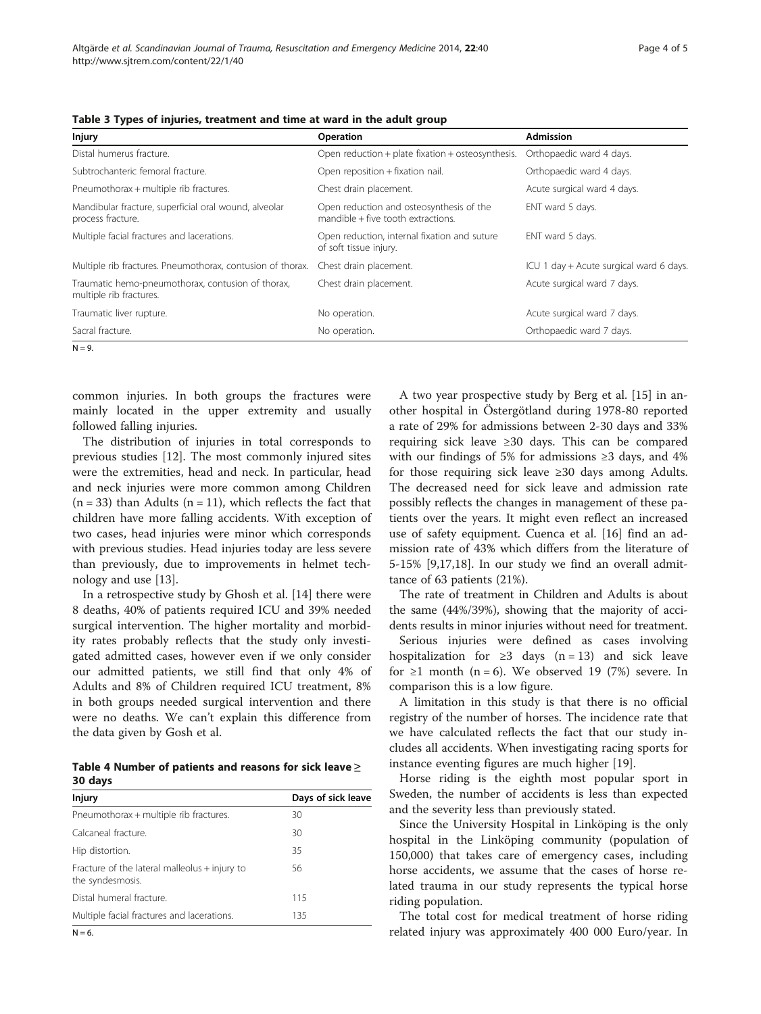| <b>Injury</b>                                                                | Operation                                                                           | <b>Admission</b>                        |  |  |
|------------------------------------------------------------------------------|-------------------------------------------------------------------------------------|-----------------------------------------|--|--|
| Distal humerus fracture.                                                     | Open reduction $+$ plate fixation $+$ osteosynthesis.                               | Orthopaedic ward 4 days.                |  |  |
| Subtrochanteric femoral fracture.                                            | Open reposition + fixation nail.                                                    | Orthopaedic ward 4 days.                |  |  |
| Pneumothorax + multiple rib fractures.                                       | Chest drain placement.                                                              | Acute surgical ward 4 days.             |  |  |
| Mandibular fracture, superficial oral wound, alveolar<br>process fracture.   | Open reduction and osteosynthesis of the<br>$m$ andible $+$ five tooth extractions. | ENT ward 5 days.                        |  |  |
| Multiple facial fractures and lacerations.                                   | Open reduction, internal fixation and suture<br>of soft tissue injury.              | ENT ward 5 days.                        |  |  |
| Multiple rib fractures. Pneumothorax, contusion of thorax.                   | Chest drain placement.                                                              | ICU 1 day + Acute surgical ward 6 days. |  |  |
| Traumatic hemo-pneumothorax, contusion of thorax,<br>multiple rib fractures. | Chest drain placement.                                                              | Acute surgical ward 7 days.             |  |  |
| Traumatic liver rupture.                                                     | No operation.                                                                       | Acute surgical ward 7 days.             |  |  |
| Sacral fracture.                                                             | No operation.                                                                       | Orthopaedic ward 7 days.                |  |  |

<span id="page-3-0"></span>

|  |  | Table 3 Types of injuries, treatment and time at ward in the adult group |
|--|--|--------------------------------------------------------------------------|
|--|--|--------------------------------------------------------------------------|

 $N = 9$ .

common injuries. In both groups the fractures were mainly located in the upper extremity and usually followed falling injuries.

The distribution of injuries in total corresponds to previous studies [\[12](#page-4-0)]. The most commonly injured sites were the extremities, head and neck. In particular, head and neck injuries were more common among Children  $(n = 33)$  than Adults  $(n = 11)$ , which reflects the fact that children have more falling accidents. With exception of two cases, head injuries were minor which corresponds with previous studies. Head injuries today are less severe than previously, due to improvements in helmet technology and use [\[13](#page-4-0)].

In a retrospective study by Ghosh et al. [\[14](#page-4-0)] there were 8 deaths, 40% of patients required ICU and 39% needed surgical intervention. The higher mortality and morbidity rates probably reflects that the study only investigated admitted cases, however even if we only consider our admitted patients, we still find that only 4% of Adults and 8% of Children required ICU treatment, 8% in both groups needed surgical intervention and there were no deaths. We can't explain this difference from the data given by Gosh et al.

| Table 4 Number of patients and reasons for sick leave $\geq$ |  |  |  |  |
|--------------------------------------------------------------|--|--|--|--|
| 30 days                                                      |  |  |  |  |

| <b>Injury</b>                                                     | Days of sick leave |
|-------------------------------------------------------------------|--------------------|
| Pneumothorax + multiple rib fractures.                            | 30                 |
| Calcaneal fracture.                                               | 30                 |
| Hip distortion.                                                   | 35                 |
| Fracture of the lateral malleolus + injury to<br>the syndesmosis. | 56                 |
| Distal humeral fracture.                                          | 115                |
| Multiple facial fractures and lacerations.                        | 135                |

 $N = 6$ .

A two year prospective study by Berg et al. [[15](#page-4-0)] in another hospital in Östergötland during 1978-80 reported a rate of 29% for admissions between 2-30 days and 33% requiring sick leave ≥30 days. This can be compared with our findings of 5% for admissions  $\geq$ 3 days, and 4% for those requiring sick leave ≥30 days among Adults. The decreased need for sick leave and admission rate possibly reflects the changes in management of these patients over the years. It might even reflect an increased use of safety equipment. Cuenca et al. [\[16](#page-4-0)] find an admission rate of 43% which differs from the literature of 5-15% [[9,17,18\]](#page-4-0). In our study we find an overall admittance of 63 patients (21%).

The rate of treatment in Children and Adults is about the same (44%/39%), showing that the majority of accidents results in minor injuries without need for treatment.

Serious injuries were defined as cases involving hospitalization for  $\geq$ 3 days (n = 13) and sick leave for  $\geq 1$  month (n = 6). We observed 19 (7%) severe. In comparison this is a low figure.

A limitation in this study is that there is no official registry of the number of horses. The incidence rate that we have calculated reflects the fact that our study includes all accidents. When investigating racing sports for instance eventing figures are much higher [[19\]](#page-4-0).

Horse riding is the eighth most popular sport in Sweden, the number of accidents is less than expected and the severity less than previously stated.

Since the University Hospital in Linköping is the only hospital in the Linköping community (population of 150,000) that takes care of emergency cases, including horse accidents, we assume that the cases of horse related trauma in our study represents the typical horse riding population.

The total cost for medical treatment of horse riding related injury was approximately 400 000 Euro/year. In